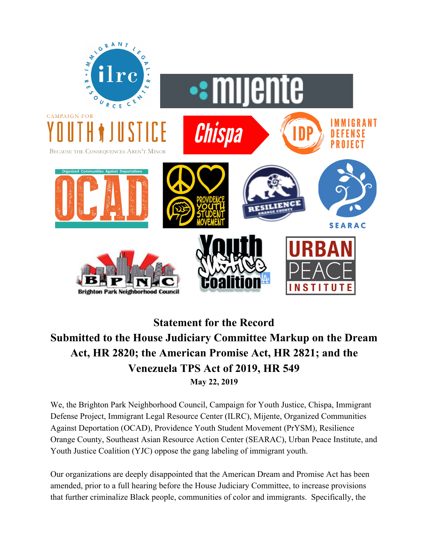

## **Statement for the Record Submitted to the House Judiciary Committee Markup on the Dream Act, HR 2820; the American Promise Act, HR 2821; and the Venezuela TPS Act of 2019, HR 549 May 22, 2019**

We, the Brighton Park Neighborhood Council, Campaign for Youth Justice, Chispa, Immigrant Defense Project, Immigrant Legal Resource Center (ILRC), Mijente, Organized Communities Against Deportation (OCAD), Providence Youth Student Movement (PrYSM), Resilience Orange County, Southeast Asian Resource Action Center (SEARAC), Urban Peace Institute, and Youth Justice Coalition (YJC) oppose the gang labeling of immigrant youth.

Our organizations are deeply disappointed that the American Dream and Promise Act has been amended, prior to a full hearing before the House Judiciary Committee, to increase provisions that further criminalize Black people, communities of color and immigrants. Specifically, the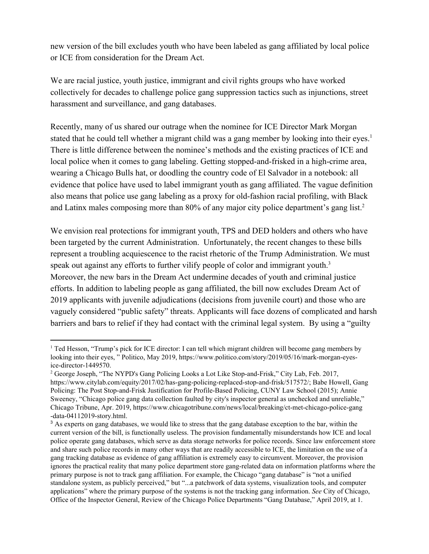new version of the bill excludes youth who have been labeled as gang affiliated by local police or ICE from consideration for the Dream Act.

We are racial justice, youth justice, immigrant and civil rights groups who have worked collectively for decades to challenge police gang suppression tactics such as injunctions, street harassment and surveillance, and gang databases.

Recently, many of us shared our outrage when the nominee for ICE Director Mark Morgan stated that he could tell whether a migrant child was a gang member by looking into their eyes.<sup>1</sup> There is little difference between the nominee's methods and the existing practices of ICE and local police when it comes to gang labeling. Getting stopped-and-frisked in a high-crime area, wearing a Chicago Bulls hat, or doodling the country code of El Salvador in a notebook: all evidence that police have used to label immigrant youth as gang affiliated. The vague definition also means that police use gang labeling as a proxy for old-fashion racial profiling, with Black and Latinx males composing more than 80% of any major city police department's gang list.<sup>2</sup>

We envision real protections for immigrant youth, TPS and DED holders and others who have been targeted by the current Administration. Unfortunately, the recent changes to these bills represent a troubling acquiescence to the racist rhetoric of the Trump Administration. We must speak out against any efforts to further vilify people of color and immigrant youth.<sup>3</sup> Moreover, the new bars in the Dream Act undermine decades of youth and criminal justice efforts. In addition to labeling people as gang affiliated, the bill now excludes Dream Act of 2019 applicants with juvenile adjudications (decisions from juvenile court) and those who are vaguely considered "public safety" threats. Applicants will face dozens of complicated and harsh barriers and bars to relief if they had contact with the criminal legal system. By using a "guilty

<sup>&</sup>lt;sup>1</sup> Ted Hesson, "Trump's pick for ICE director: I can tell which migrant children will become gang members by looking into their eyes, " Politico, May 2019, https://www.politico.com/story/2019/05/16/mark-morgan-eyesice-director-1449570.

<sup>2</sup> George Joseph, "The NYPD's Gang Policing Looks a Lot Like Stop-and-Frisk," City Lab, Feb. 2017, https://www.citylab.com/equity/2017/02/has-gang-policing-replaced-stop-and-frisk/517572/; Babe Howell, Gang Policing: The Post Stop-and-Frisk Justification for Profile-Based Policing, CUNY Law School (2015); Annie Sweeney, "Chicago police gang data collection faulted by city's inspector general as unchecked and unreliable," Chicago Tribune, Apr. 2019, https://www.chicagotribune.com/news/local/breaking/ct-met-chicago-police-gang -data-04112019-story.html.

<sup>&</sup>lt;sup>3</sup> As experts on gang databases, we would like to stress that the gang database exception to the bar, within the current version of the bill, is functionally useless. The provision fundamentally misunderstands how ICE and local police operate gang databases, which serve as data storage networks for police records. Since law enforcement store and share such police records in many other ways that are readily accessible to ICE, the limitation on the use of a gang tracking database as evidence of gang affiliation is extremely easy to circumvent. Moreover, the provision ignores the practical reality that many police department store gang-related data on information platforms where the primary purpose is not to track gang affiliation. For example, the Chicago "gang database" is "not a unified standalone system, as publicly perceived," but "...a patchwork of data systems, visualization tools, and computer applications" where the primary purpose of the systems is not the tracking gang information. *See* City of Chicago, Office of the Inspector General, Review of the Chicago Police Departments "Gang Database," April 2019, at 1.